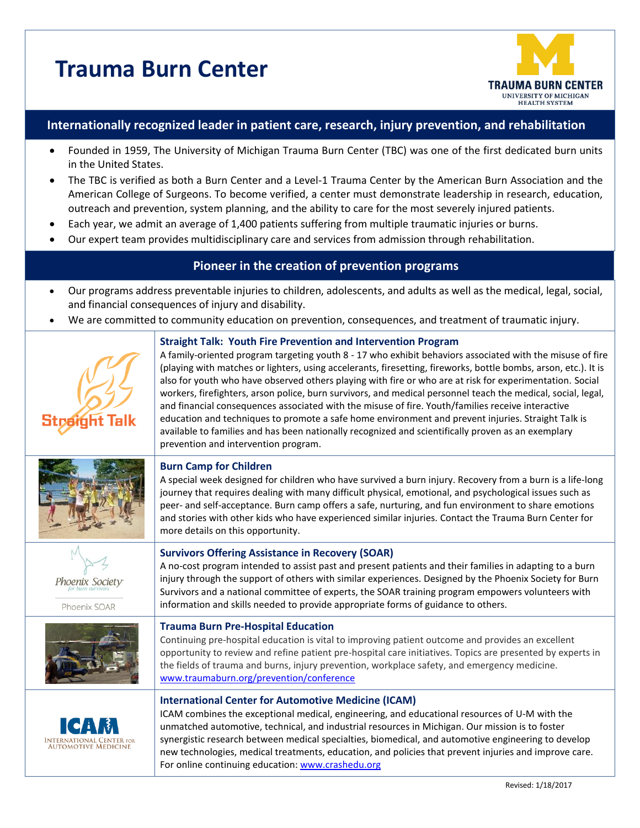# **Trauma Burn Center**



## **Internationally recognized leader in patient care, research, injury prevention, and rehabilitation**

- Founded in 1959, The University of Michigan Trauma Burn Center (TBC) was one of the first dedicated burn units in the United States.
- The TBC is verified as both a Burn Center and a Level-1 Trauma Center by the American Burn Association and the American College of Surgeons. To become verified, a center must demonstrate leadership in research, education, outreach and prevention, system planning, and the ability to care for the most severely injured patients.
- Each year, we admit an average of 1,400 patients suffering from multiple traumatic injuries or burns.
- Our expert team provides multidisciplinary care and services from admission through rehabilitation.

# **Pioneer in the creation of prevention programs**

- Our programs address preventable injuries to children, adolescents, and adults as well as the medical, legal, social, and financial consequences of injury and disability.
- We are committed to community education on prevention, consequences, and treatment of traumatic injury.

|                                 | <b>Straight Talk: Youth Fire Prevention and Intervention Program</b><br>A family-oriented program targeting youth 8 - 17 who exhibit behaviors associated with the misuse of fire<br>(playing with matches or lighters, using accelerants, firesetting, fireworks, bottle bombs, arson, etc.). It is<br>also for youth who have observed others playing with fire or who are at risk for experimentation. Social<br>workers, firefighters, arson police, burn survivors, and medical personnel teach the medical, social, legal,<br>and financial consequences associated with the misuse of fire. Youth/families receive interactive<br>education and techniques to promote a safe home environment and prevent injuries. Straight Talk is<br>available to families and has been nationally recognized and scientifically proven as an exemplary<br>prevention and intervention program. |
|---------------------------------|-------------------------------------------------------------------------------------------------------------------------------------------------------------------------------------------------------------------------------------------------------------------------------------------------------------------------------------------------------------------------------------------------------------------------------------------------------------------------------------------------------------------------------------------------------------------------------------------------------------------------------------------------------------------------------------------------------------------------------------------------------------------------------------------------------------------------------------------------------------------------------------------|
|                                 | <b>Burn Camp for Children</b><br>A special week designed for children who have survived a burn injury. Recovery from a burn is a life-long<br>journey that requires dealing with many difficult physical, emotional, and psychological issues such as<br>peer- and self-acceptance. Burn camp offers a safe, nurturing, and fun environment to share emotions<br>and stories with other kids who have experienced similar injuries. Contact the Trauma Burn Center for<br>more details on this opportunity.                                                                                                                                                                                                                                                                                                                                                                               |
| Phoenix Society<br>Phoenix SOAR | <b>Survivors Offering Assistance in Recovery (SOAR)</b><br>A no-cost program intended to assist past and present patients and their families in adapting to a burn<br>injury through the support of others with similar experiences. Designed by the Phoenix Society for Burn<br>Survivors and a national committee of experts, the SOAR training program empowers volunteers with<br>information and skills needed to provide appropriate forms of guidance to others.                                                                                                                                                                                                                                                                                                                                                                                                                   |
|                                 | <b>Trauma Burn Pre-Hospital Education</b><br>Continuing pre-hospital education is vital to improving patient outcome and provides an excellent<br>opportunity to review and refine patient pre-hospital care initiatives. Topics are presented by experts in<br>the fields of trauma and burns, injury prevention, workplace safety, and emergency medicine.<br>www.traumaburn.org/prevention/conference                                                                                                                                                                                                                                                                                                                                                                                                                                                                                  |
| <b>AUTOMOTIVE MEDICINE</b>      | <b>International Center for Automotive Medicine (ICAM)</b><br>ICAM combines the exceptional medical, engineering, and educational resources of U-M with the<br>unmatched automotive, technical, and industrial resources in Michigan. Our mission is to foster<br>synergistic research between medical specialties, biomedical, and automotive engineering to develop<br>new technologies, medical treatments, education, and policies that prevent injuries and improve care.<br>For online continuing education: www.crashedu.org                                                                                                                                                                                                                                                                                                                                                       |